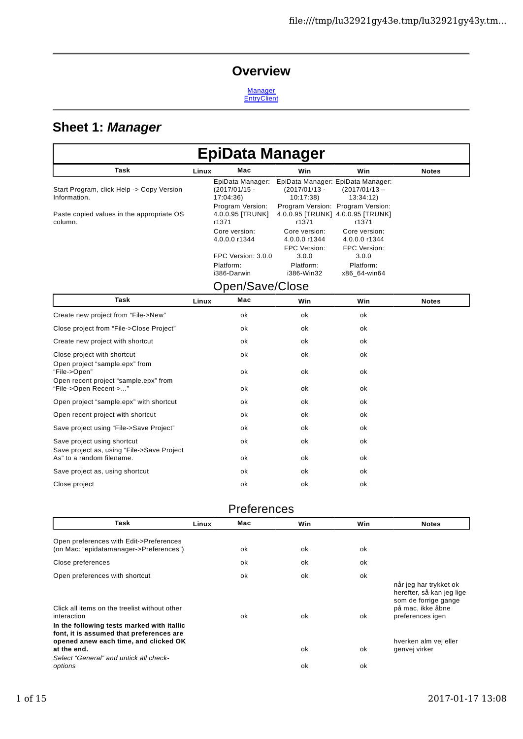### **Overview**



### **Sheet 1:** *Manager*

|                                                                                                                                                        |       | EpiData Manager                                  |                                                                   |                                                |                                                                                                                      |
|--------------------------------------------------------------------------------------------------------------------------------------------------------|-------|--------------------------------------------------|-------------------------------------------------------------------|------------------------------------------------|----------------------------------------------------------------------------------------------------------------------|
| Task                                                                                                                                                   | Linux | Мас                                              | Win                                                               | Win                                            | <b>Notes</b>                                                                                                         |
| Start Program, click Help -> Copy Version<br>Information.                                                                                              |       | EpiData Manager:<br>$(2017/01/15 -$<br>17:04:36) | EpiData Manager: EpiData Manager:<br>$(2017/01/13 -$<br>10:17:38) | $(2017/01/13 -$<br>13:34:12)                   |                                                                                                                      |
| Paste copied values in the appropriate OS<br>column.                                                                                                   |       | Program Version:<br>4.0.0.95 [TRUNK]<br>r1371    | 4.0.0.95 [TRUNK] 4.0.0.95 [TRUNK]<br>r1371                        | Program Version: Program Version:<br>r1371     |                                                                                                                      |
|                                                                                                                                                        |       | Core version:<br>4.0.0.0 r1344                   | Core version:<br>4.0.0.0 r1344<br>FPC Version:                    | Core version:<br>4.0.0.0 r1344<br>FPC Version: |                                                                                                                      |
|                                                                                                                                                        |       | FPC Version: 3.0.0<br>Platform:<br>i386-Darwin   | 3.0.0<br>Platform:<br>i386-Win32                                  | 3.0.0<br>Platform:<br>x86_64-win64             |                                                                                                                      |
|                                                                                                                                                        |       | Open/Save/Close                                  |                                                                   |                                                |                                                                                                                      |
| Task                                                                                                                                                   | Linux | Мас                                              | Win                                                               | Win                                            | <b>Notes</b>                                                                                                         |
| Create new project from "File->New"                                                                                                                    |       | оk                                               | ok                                                                | оk                                             |                                                                                                                      |
| Close project from "File->Close Project"                                                                                                               |       | оk                                               | ok                                                                | оk                                             |                                                                                                                      |
| Create new project with shortcut                                                                                                                       |       | оk                                               | ok                                                                | оk                                             |                                                                                                                      |
| Close project with shortcut<br>Open project "sample.epx" from                                                                                          |       | оk                                               | ok                                                                | ok                                             |                                                                                                                      |
| "File->Open"<br>Open recent project "sample.epx" from<br>"File->Open Recent->"                                                                         |       | оk<br>ok                                         | ok<br>ok                                                          | оk<br>ok                                       |                                                                                                                      |
| Open project "sample.epx" with shortcut                                                                                                                |       | оk                                               | ok                                                                | ok                                             |                                                                                                                      |
| Open recent project with shortcut                                                                                                                      |       | ok                                               | ok                                                                | ok                                             |                                                                                                                      |
| Save project using "File->Save Project"                                                                                                                |       | ok                                               | ok                                                                | ok                                             |                                                                                                                      |
| Save project using shortcut<br>Save project as, using "File->Save Project"                                                                             |       | оk                                               | ok                                                                | ok                                             |                                                                                                                      |
| As" to a random filename.                                                                                                                              |       | ok                                               | ok                                                                | оk                                             |                                                                                                                      |
| Save project as, using shortcut<br>Close project                                                                                                       |       | ok<br>оk                                         | ok<br>ok                                                          | ok<br>оk                                       |                                                                                                                      |
|                                                                                                                                                        |       | Preferences                                      |                                                                   |                                                |                                                                                                                      |
| <b>Task</b>                                                                                                                                            | Linux | Мас                                              | Win                                                               | Win                                            | <b>Notes</b>                                                                                                         |
| Open preferences with Edit->Preferences<br>(on Mac: "epidatamanager->Preferences")                                                                     |       | оk                                               | ok                                                                | оk                                             |                                                                                                                      |
| Close preferences                                                                                                                                      |       | оk                                               | ok                                                                | оk                                             |                                                                                                                      |
| Open preferences with shortcut                                                                                                                         |       | оk                                               | ok                                                                | оk                                             |                                                                                                                      |
| Click all items on the treelist without other<br>interaction<br>In the following tests marked with itallic<br>font, it is assumed that preferences are |       | оk                                               | ok                                                                | оk                                             | når jeg har trykket ok<br>herefter, så kan jeg lige<br>som de forrige gange<br>på mac, ikke åbne<br>preferences igen |
| opened anew each time, and clicked OK<br>at the end.<br>Select "General" and untick all check-                                                         |       |                                                  | ok                                                                | оk                                             | hverken alm vej eller<br>genvej virker                                                                               |
| options                                                                                                                                                |       |                                                  | оk                                                                | оk                                             |                                                                                                                      |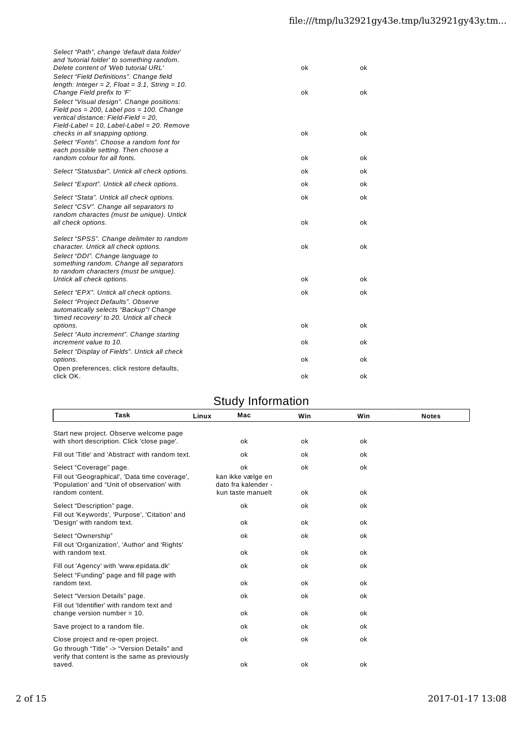| Select "Path", change 'default data folder'<br>and 'tutorial folder' to something random.<br>Delete content of 'Web tutorial URL'<br>Select "Field Definitions", Change field<br>length: Integer = 2, Float = 3.1, String = 10. | оk | ok |
|---------------------------------------------------------------------------------------------------------------------------------------------------------------------------------------------------------------------------------|----|----|
| Change Field prefix to 'F'<br>Select "Visual design". Change positions:<br>Field $pos = 200$ , Label $pos = 100$ . Change<br>vertical distance: Field-Field = 20,<br>$Field-Label = 10$ , Label-Label = 20. Remove              | ok | οk |
| checks in all snapping optiong.<br>Select "Fonts". Choose a random font for<br>each possible setting. Then choose a<br>random colour for all fonts.                                                                             | ok | ok |
|                                                                                                                                                                                                                                 | ok | ok |
| Select "Statusbar". Untick all check options.                                                                                                                                                                                   | ok | ok |
| Select "Export". Untick all check options.                                                                                                                                                                                      | ok | ok |
| Select "Stata". Untick all check options.<br>Select "CSV". Change all separators to<br>random charactes (must be unique). Untick                                                                                                | ok | ok |
| all check options.                                                                                                                                                                                                              | ok | ok |
| Select "SPSS". Change delimiter to random<br>character. Untick all check options.<br>Select "DDI". Change language to<br>something random. Change all separators                                                                | ok | ok |
| to random characters (must be unique).                                                                                                                                                                                          |    |    |
| Untick all check options.                                                                                                                                                                                                       | ok | ok |
| Select "EPX". Untick all check options.<br>Select "Project Defaults". Observe<br>automatically selects "Backup"! Change                                                                                                         | ok | ok |
| 'timed recovery' to 20. Untick all check<br>options.                                                                                                                                                                            | ok | ok |
| Select "Auto increment". Change starting<br>increment value to 10.                                                                                                                                                              | ok | ok |
| Select "Display of Fields". Untick all check<br>options.                                                                                                                                                                        | ok | ok |
| Open preferences, click restore defaults,<br>click OK.                                                                                                                                                                          | ok | ok |

### Study Information

| Task                                                                                                                                        | Mac<br>Linux                                                        | Win      | Win      | <b>Notes</b> |
|---------------------------------------------------------------------------------------------------------------------------------------------|---------------------------------------------------------------------|----------|----------|--------------|
| Start new project. Observe welcome page<br>with short description. Click 'close page'.                                                      | ok                                                                  | ok       | ok       |              |
| Fill out 'Title' and 'Abstract' with random text.                                                                                           | ok                                                                  | ok       | ok       |              |
| Select "Coverage" page.<br>Fill out 'Geographical', 'Data time coverage',<br>'Population' and "Unit of observation' with<br>random content. | ok<br>kan ikke vælge en<br>dato fra kalender -<br>kun taste manuelt | ok<br>ok | ok<br>ok |              |
| Select "Description" page.<br>Fill out 'Keywords', 'Purpose', 'Citation' and<br>'Design' with random text.                                  | ok<br>ok                                                            | ok<br>ok | ok<br>ok |              |
| Select "Ownership"<br>Fill out 'Organization', 'Author' and 'Rights'<br>with random text.                                                   | ok<br>ok                                                            | ok<br>ok | ok<br>ok |              |
| Fill out 'Agency' with 'www.epidata.dk'<br>Select "Funding" page and fill page with<br>random text.                                         | ok<br>оk                                                            | ok<br>ok | ok<br>ok |              |
| Select "Version Details" page.<br>Fill out 'Identifier' with random text and<br>change version number $= 10$ .                              | ok<br>ok                                                            | ok<br>ok | ok<br>оk |              |
| Save project to a random file.                                                                                                              | ok                                                                  | ok       | ok       |              |
| Close project and re-open project.<br>Go through "Title" -> "Version Details" and<br>verify that content is the same as previously          | ok                                                                  | ok       | оk       |              |
| saved.                                                                                                                                      | ok                                                                  | ok       | оk       |              |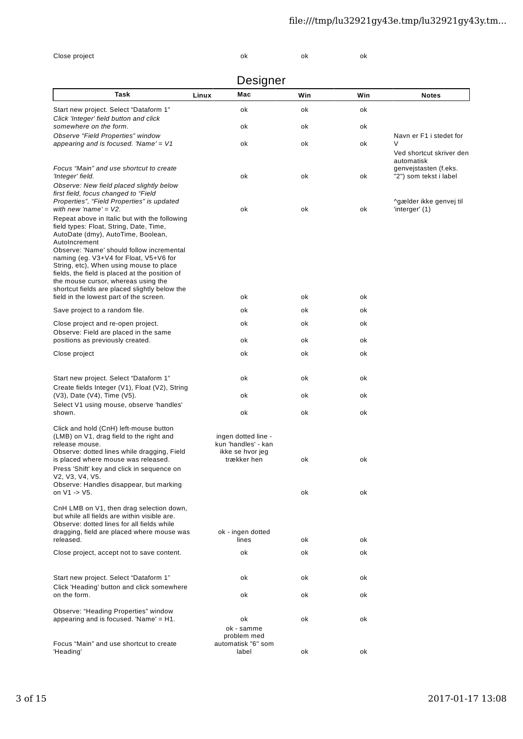| Close project                                                                                                                                                                                                                                                                                                                        |       | ok                                                             | оk       | оk       |                                                  |
|--------------------------------------------------------------------------------------------------------------------------------------------------------------------------------------------------------------------------------------------------------------------------------------------------------------------------------------|-------|----------------------------------------------------------------|----------|----------|--------------------------------------------------|
|                                                                                                                                                                                                                                                                                                                                      |       |                                                                |          |          |                                                  |
| <b>Task</b>                                                                                                                                                                                                                                                                                                                          |       | Designer<br>Mac                                                |          |          |                                                  |
|                                                                                                                                                                                                                                                                                                                                      | Linux |                                                                | Win      | Win      | <b>Notes</b>                                     |
| Start new project. Select "Dataform 1"<br>Click 'Integer' field button and click<br>somewhere on the form.                                                                                                                                                                                                                           |       | оk<br>оk                                                       | оk<br>оk | оk<br>оk |                                                  |
| Observe "Field Properties" window                                                                                                                                                                                                                                                                                                    |       |                                                                |          |          | Navn er F1 i stedet for                          |
| appearing and is focused. 'Name' = $V1$                                                                                                                                                                                                                                                                                              |       | оk                                                             | оk       | оk       | $\vee$<br>Ved shortcut skriver den<br>automatisk |
| Focus "Main" and use shortcut to create<br>'Integer' field.<br>Observe: New field placed slightly below                                                                                                                                                                                                                              |       | оk                                                             | оk       | ok       | genvejstasten (f.eks.<br>"2") som tekst i label  |
| first field, focus changed to "Field<br>Properties", "Field Properties" is updated<br>with new 'name' = $V2$ .<br>Repeat above in Italic but with the following<br>field types: Float, String, Date, Time,<br>AutoDate (dmy), AutoTime, Boolean,                                                                                     |       | ok                                                             | оk       | оk       | ^gælder ikke genvej til<br>'interger' (1)        |
| AutoIncrement<br>Observe: 'Name' should follow incremental<br>naming (eg. V3+V4 for Float, V5+V6 for<br>String, etc), When using mouse to place<br>fields, the field is placed at the position of<br>the mouse cursor, whereas using the<br>shortcut fields are placed slightly below the<br>field in the lowest part of the screen. |       | оk                                                             | оk       | ok       |                                                  |
| Save project to a random file.                                                                                                                                                                                                                                                                                                       |       | ok                                                             | ok       | ok       |                                                  |
| Close project and re-open project.<br>Observe: Field are placed in the same                                                                                                                                                                                                                                                          |       | оk                                                             | оk       | оk       |                                                  |
| positions as previously created.                                                                                                                                                                                                                                                                                                     |       | оk                                                             | оk       | оk       |                                                  |
| Close project                                                                                                                                                                                                                                                                                                                        |       | оk                                                             | оk       | оk       |                                                  |
| Start new project. Select "Dataform 1"<br>Create fields Integer (V1), Float (V2), String                                                                                                                                                                                                                                             |       | оk                                                             | ok       | оk       |                                                  |
| (V3), Date (V4), Time (V5).<br>Select V1 using mouse, observe 'handles'                                                                                                                                                                                                                                                              |       | оk                                                             | оk       | оk       |                                                  |
| shown.                                                                                                                                                                                                                                                                                                                               |       | оk                                                             | оk       | оk       |                                                  |
| Click and hold (CnH) left-mouse button<br>(LMB) on V1, drag field to the right and<br>release mouse.<br>Observe: dotted lines while dragging, Field                                                                                                                                                                                  |       | ingen dotted line -<br>kun 'handles' - kan<br>ikke se hvor jeg |          |          |                                                  |
| is placed where mouse was released.<br>Press 'Shift' key and click in sequence on<br>V2, V3, V4, V5.                                                                                                                                                                                                                                 |       | trækker hen                                                    | оk       | оk       |                                                  |
| Observe: Handles disappear, but marking<br>on V1 -> V5.                                                                                                                                                                                                                                                                              |       |                                                                | оk       | ok       |                                                  |
| CnH LMB on V1, then drag selection down,<br>but while all fields are within visible are.<br>Observe: dotted lines for all fields while                                                                                                                                                                                               |       |                                                                |          |          |                                                  |
| dragging, field are placed where mouse was<br>released.                                                                                                                                                                                                                                                                              |       | ok - ingen dotted<br>lines                                     | ok       | ok       |                                                  |
| Close project, accept not to save content.                                                                                                                                                                                                                                                                                           |       | ok                                                             | оk       | ok       |                                                  |
| Start new project. Select "Dataform 1"<br>Click 'Heading' button and click somewhere                                                                                                                                                                                                                                                 |       | оk                                                             | оk       | оk       |                                                  |
| on the form.                                                                                                                                                                                                                                                                                                                         |       | оk                                                             | оk       | ok       |                                                  |
| Observe: "Heading Properties" window<br>appearing and is focused. 'Name' $=$ H1.                                                                                                                                                                                                                                                     |       | ok<br>ok - samme<br>problem med                                | оk       | оk       |                                                  |
| Focus "Main" and use shortcut to create<br>'Heading'                                                                                                                                                                                                                                                                                 |       | automatisk "6" som<br>label                                    | оk       | оk       |                                                  |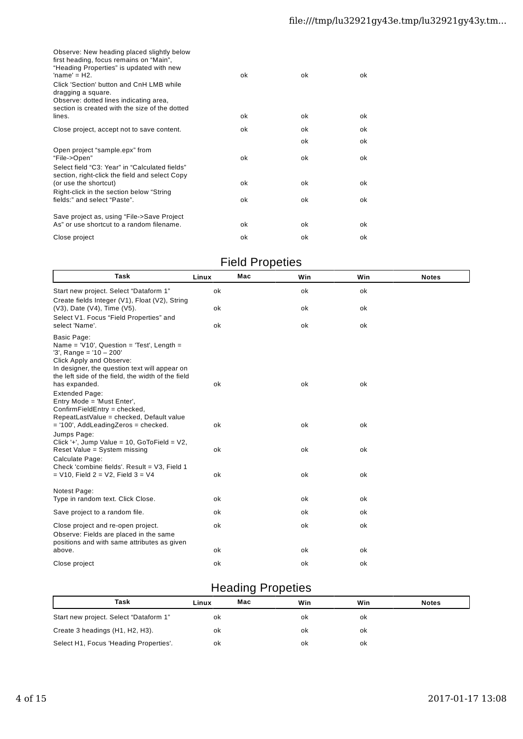| Observe: New heading placed slightly below<br>first heading, focus remains on "Main",<br>"Heading Properties" is updated with new<br>'name' = $H2$ .<br>Click 'Section' button and CnH LMB while<br>dragging a square.<br>Observe: dotted lines indicating area,<br>section is created with the size of the dotted | ok | ok | ok |
|--------------------------------------------------------------------------------------------------------------------------------------------------------------------------------------------------------------------------------------------------------------------------------------------------------------------|----|----|----|
| lines.                                                                                                                                                                                                                                                                                                             | ok | ok | ok |
| Close project, accept not to save content.                                                                                                                                                                                                                                                                         | ok | ok | ok |
|                                                                                                                                                                                                                                                                                                                    |    | ok | ok |
| Open project "sample.epx" from<br>"File->Open"<br>Select field "C3: Year" in "Calculated fields"                                                                                                                                                                                                                   | ok | ok | ok |
| section, right-click the field and select Copy<br>(or use the shortcut)<br>Right-click in the section below "String"                                                                                                                                                                                               | ok | ok | ok |
| fields:" and select "Paste".                                                                                                                                                                                                                                                                                       | ok | ok | ok |
| Save project as, using "File->Save Project"<br>As" or use shortcut to a random filename.                                                                                                                                                                                                                           | оk | ok | ok |
| Close project                                                                                                                                                                                                                                                                                                      | ok | ok | οk |

### Field Propeties

| <b>Task</b>                                                                                                                                                                                                                   | Linux | Mac | Win | Win | <b>Notes</b> |
|-------------------------------------------------------------------------------------------------------------------------------------------------------------------------------------------------------------------------------|-------|-----|-----|-----|--------------|
| Start new project. Select "Dataform 1"<br>Create fields Integer (V1), Float (V2), String                                                                                                                                      | ok    |     | ok  | оk  |              |
| (V3), Date (V4), Time (V5).<br>Select V1. Focus "Field Properties" and                                                                                                                                                        | ok    |     | ok  | ok  |              |
| select 'Name'.                                                                                                                                                                                                                | ok    |     | ok  | ok  |              |
| Basic Page:<br>Name = ' $V10'$ , Question = 'Test', Length =<br>$'3'$ , Range = '10 - 200'<br>Click Apply and Observe:<br>In designer, the question text will appear on<br>the left side of the field, the width of the field |       |     |     |     |              |
| has expanded.<br><b>Extended Page:</b><br>Entry Mode = 'Must Enter',<br>ConfirmFieldEntry = checked,<br>RepeatLastValue = checked, Default value                                                                              | ok    |     | оk  | ok  |              |
| = '100', AddLeadingZeros = checked.<br>Jumps Page:<br>Click '+', Jump Value = $10$ , GoToField = $V2$ ,                                                                                                                       | оk    |     | оk  | оk  |              |
| Reset Value = System missing<br>Calculate Page:<br>Check 'combine fields'. Result = V3, Field 1                                                                                                                               | ok    |     | ok  | оk  |              |
| $=$ V10, Field 2 = V2, Field 3 = V4                                                                                                                                                                                           | ok    |     | ok  | оk  |              |
| Notest Page:<br>Type in random text. Click Close.                                                                                                                                                                             | ok    |     | оk  | ok  |              |
| Save project to a random file.                                                                                                                                                                                                | ok    |     | оk  | ok  |              |
| Close project and re-open project.<br>Observe: Fields are placed in the same<br>positions and with same attributes as given                                                                                                   | ok    |     | ok  | ok  |              |
| above.                                                                                                                                                                                                                        | ok    |     | оk  | оk  |              |
| Close project                                                                                                                                                                                                                 | ok    |     | ok  | ok  |              |

### Heading Propeties

|                                        |       | ້   |     |     |              |
|----------------------------------------|-------|-----|-----|-----|--------------|
| Task                                   | Linux | Mac | Win | Win | <b>Notes</b> |
| Start new project. Select "Dataform 1" | ok    |     | ok  | οĸ  |              |
| Create 3 headings (H1, H2, H3).        | οĸ    |     | οĸ  | оk  |              |
| Select H1, Focus 'Heading Properties'. | ok    |     | οk  | οĸ  |              |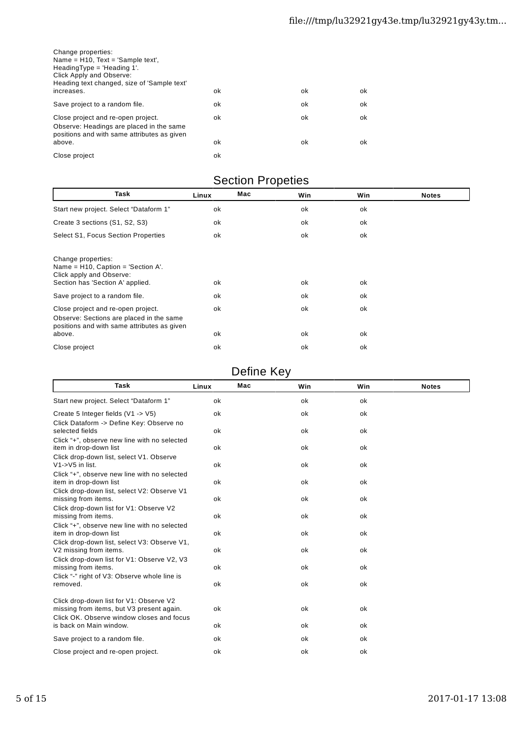| Change properties:<br>Name = $H10$ , Text = 'Sample text',<br>Heading Type = 'Heading $1'.$<br>Click Apply and Observe:<br>Heading text changed, size of 'Sample text'<br>increases. | ok | ok | οk |
|--------------------------------------------------------------------------------------------------------------------------------------------------------------------------------------|----|----|----|
| Save project to a random file.                                                                                                                                                       | οk | ok | ok |
| Close project and re-open project.<br>Observe: Headings are placed in the same<br>positions and with same attributes as given                                                        | οk | ok | ok |
| above.                                                                                                                                                                               | οk | ok | οk |
| Close project                                                                                                                                                                        | οk |    |    |

### Section Propeties

| Task                                                                                                                                                                      | Linux    | Mac | Win            | Win            | <b>Notes</b> |
|---------------------------------------------------------------------------------------------------------------------------------------------------------------------------|----------|-----|----------------|----------------|--------------|
| Start new project. Select "Dataform 1"                                                                                                                                    | ok       |     | ok             | ok             |              |
| Create 3 sections (S1, S2, S3)                                                                                                                                            | ok       |     | ok             | ok             |              |
| Select S1, Focus Section Properties                                                                                                                                       | ok       |     | ok             | ok             |              |
| Change properties:<br>Name = $H10$ , Caption = 'Section A'.<br>Click apply and Observe:<br>Section has 'Section A' applied.                                               | ok<br>ok |     | ok             | ok             |              |
| Save project to a random file.<br>Close project and re-open project.<br>Observe: Sections are placed in the same<br>positions and with same attributes as given<br>above. | ok<br>ok |     | ok<br>ok<br>ok | ok<br>ok<br>ok |              |
| Close project                                                                                                                                                             | ok       |     | ok             | ok             |              |

### Define Key

| Task                                                                                                                              | Linux | Mac | Win | Win | <b>Notes</b> |
|-----------------------------------------------------------------------------------------------------------------------------------|-------|-----|-----|-----|--------------|
| Start new project. Select "Dataform 1"                                                                                            | ok    |     | ok  | ok  |              |
| Create 5 Integer fields $(V1 \rightarrow V5)$<br>Click Dataform -> Define Key: Observe no                                         | ok    |     | ok  | ok  |              |
| selected fields                                                                                                                   | ok    |     | ok  | ok  |              |
| Click "+", observe new line with no selected<br>item in drop-down list                                                            | оk    |     | оk  | оk  |              |
| Click drop-down list, select V1. Observe<br>$V1->V5$ in list.                                                                     | ok    |     | оk  | оk  |              |
| Click "+", observe new line with no selected<br>item in drop-down list                                                            | ok    |     | ok  | ok  |              |
| Click drop-down list, select V2: Observe V1<br>missing from items.                                                                | ok    |     | ok  | ok  |              |
| Click drop-down list for V1: Observe V2<br>missing from items.                                                                    | ok    |     | ok  | ok  |              |
| Click "+", observe new line with no selected<br>item in drop-down list                                                            | ok    |     | ok  | ok  |              |
| Click drop-down list, select V3: Observe V1,<br>V2 missing from items.                                                            | ok    |     | ok  | оk  |              |
| Click drop-down list for V1: Observe V2, V3<br>missing from items.                                                                | ok    |     | ok  | оk  |              |
| Click "-" right of V3: Observe whole line is<br>removed.                                                                          | ok    |     | ok  | ok  |              |
| Click drop-down list for V1: Observe V2<br>missing from items, but V3 present again.<br>Click OK. Observe window closes and focus | ok    |     | оk  | оk  |              |
| is back on Main window.                                                                                                           | ok    |     | ok  | ok  |              |
| Save project to a random file.                                                                                                    | ok    |     | оk  | оk  |              |
| Close project and re-open project.                                                                                                | ok    |     | ok  | оk  |              |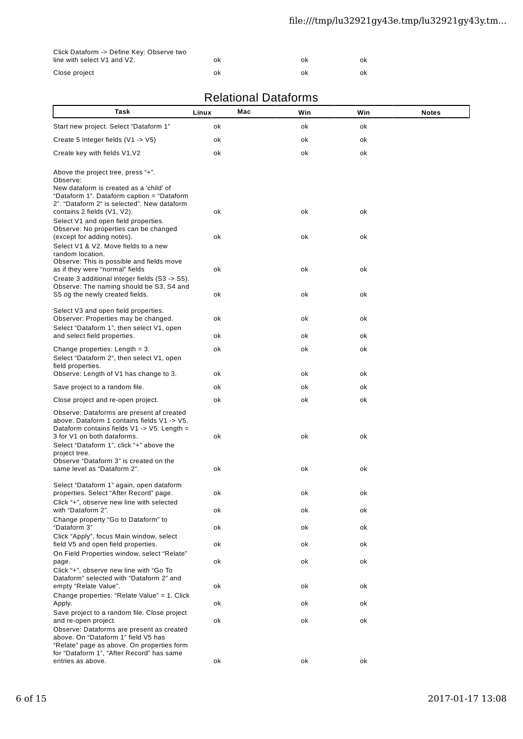| Click Dataform -> Define Key: Observe two |    |    |    |
|-------------------------------------------|----|----|----|
| line with select V1 and V2.               | ok | ok | ok |
| Close project                             | Ωk | Ωk | ok |

|                                                                                                                                                                                                                                                                               |       |     | Relational Dataforms |     |              |
|-------------------------------------------------------------------------------------------------------------------------------------------------------------------------------------------------------------------------------------------------------------------------------|-------|-----|----------------------|-----|--------------|
| Task                                                                                                                                                                                                                                                                          | Linux | Mac | Win                  | Win | <b>Notes</b> |
| Start new project. Select "Dataform 1"                                                                                                                                                                                                                                        | оk    |     | оk                   | оk  |              |
| Create 5 Integer fields $(V1 \rightarrow V5)$                                                                                                                                                                                                                                 | ok    |     | ok                   | ok  |              |
| Create key with fields V1, V2                                                                                                                                                                                                                                                 | ok    |     | ok                   | оk  |              |
| Above the project tree, press "+".<br>Observe:<br>New dataform is created as a 'child' of<br>"Dataform 1". Dataform caption = "Dataform<br>2". "Dataform 2" is selected". New dataform                                                                                        |       |     |                      |     |              |
| contains 2 fields (V1, V2).<br>Select V1 and open field properties.                                                                                                                                                                                                           | оk    |     | оk                   | оk  |              |
| Observe: No properties can be changed<br>(except for adding notes).<br>Select V1 & V2. Move fields to a new                                                                                                                                                                   | ok    |     | оk                   | оk  |              |
| random location.<br>Observe: This is possible and fields move<br>as if they were "normal" fields<br>Create 3 additional integer fields (S3 -> S5).                                                                                                                            | оk    |     | оk                   | оk  |              |
| Observe: The naming should be S3, S4 and<br>S5 og the newly created fields.                                                                                                                                                                                                   | ok    |     | ok                   | оk  |              |
| Select V3 and open field properties.<br>Observer: Properties may be changed.                                                                                                                                                                                                  | оk    |     | ok                   | оk  |              |
| Select "Dataform 1", then select V1, open<br>and select field properties.                                                                                                                                                                                                     | ok    |     | ok                   | оk  |              |
| Change properties: Length $=$ 3.<br>Select "Dataform 2", then select V1, open<br>field properties.                                                                                                                                                                            | оk    |     | ok                   | оk  |              |
| Observe: Length of V1 has change to 3.                                                                                                                                                                                                                                        | ok    |     | ok                   | ok  |              |
| Save project to a random file.                                                                                                                                                                                                                                                | оk    |     | ok                   | оk  |              |
| Close project and re-open project.                                                                                                                                                                                                                                            | ok    |     | ok                   | ok  |              |
| Observe: Dataforms are present af created<br>above. Dataform 1 contains fields V1 -> V5.<br>Dataform contains fields V1 -> V5. Length =<br>3 for V1 on both dataforms.<br>Select "Dataform 1", click "+" above the<br>project tree.<br>Observe "Dataform 3" is created on the | ok    |     | ok                   | оk  |              |
| same level as "Dataform 2".                                                                                                                                                                                                                                                   | оk    |     | оk                   | оk  |              |
| Select "Dataform 1" again, open dataform<br>properties. Select "After Record" page.<br>Click "+", observe new line with selected                                                                                                                                              | оk    |     | оk                   | оk  |              |
| with "Dataform 2".                                                                                                                                                                                                                                                            | оk    |     | оk                   | оk  |              |
| Change property "Go to Dataform" to<br>"Dataform 3"                                                                                                                                                                                                                           | оk    |     | оk                   | оk  |              |
| Click "Apply", focus Main window, select<br>field V5 and open field properties.                                                                                                                                                                                               | ok    |     | оk                   | оk  |              |
| On Field Properties window, select "Relate"<br>page.<br>Click "+", observe new line with "Go To                                                                                                                                                                               | оk    |     | ok                   | оk  |              |
| Dataform" selected with "Dataform 2" and<br>empty "Relate Value".                                                                                                                                                                                                             | ok    |     | оk                   | оk  |              |
| Change properties: "Relate Value" = 1. Click<br>Apply.                                                                                                                                                                                                                        | оk    |     | ok                   | оk  |              |
| Save project to a random file. Close project<br>and re-open project.<br>Observe: Dataforms are present as created                                                                                                                                                             | оk    |     | ok                   | оk  |              |
| above. On "Dataform 1" field V5 has<br>"Relate" page as above. On properties form<br>for "Dataform 1", "After Record" has same                                                                                                                                                |       |     |                      |     |              |
| entries as above.                                                                                                                                                                                                                                                             | ok    |     | оk                   | οk  |              |

### Relational Dataforms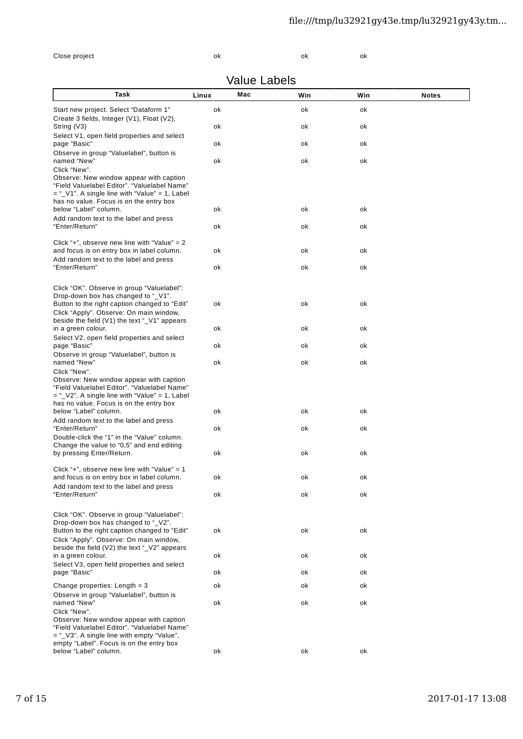| Close project | ok | ok | оk |
|---------------|----|----|----|
|               |    |    |    |

|                                                                                                                                                                                                                       |       | <b>Value Labels</b> |     |     |              |
|-----------------------------------------------------------------------------------------------------------------------------------------------------------------------------------------------------------------------|-------|---------------------|-----|-----|--------------|
| Task                                                                                                                                                                                                                  | Linux | Mac                 | Win | Win | <b>Notes</b> |
| Start new project. Select "Dataform 1"                                                                                                                                                                                | оk    |                     | оk  | оk  |              |
| Create 3 fields, Integer (V1), Float (V2),<br>String (V3)                                                                                                                                                             | оk    |                     | ok  | оk  |              |
| Select V1, open field properties and select<br>page "Basic"                                                                                                                                                           | оk    |                     | оk  | оk  |              |
| Observe in group "Valuelabel", button is<br>named "New"                                                                                                                                                               | оk    |                     | оk  | оk  |              |
| Click "New".<br>Observe: New window appear with caption<br>"Field Valuelabel Editor". "Valuelabel Name"<br>$=$ " V1". A single line with "Value" = 1, Label<br>has no value. Focus is on the entry box                |       |                     |     |     |              |
| below "Label" column.                                                                                                                                                                                                 | оk    |                     | ok  | оk  |              |
| Add random text to the label and press<br>"Enter/Return"                                                                                                                                                              | оk    |                     | ok  | оk  |              |
| Click "+", observe new line with "Value" = $2$<br>and focus is on entry box in label column.                                                                                                                          | ok    |                     | оk  | оk  |              |
| Add random text to the label and press<br>"Enter/Return"                                                                                                                                                              | оk    |                     | оk  | оk  |              |
| Click "OK". Observe in group "Valuelabel":<br>Drop-down box has changed to " V1".                                                                                                                                     |       |                     |     |     |              |
| Button to the right caption changed to "Edit"<br>Click "Apply". Observe: On main window,<br>beside the field (V1) the text " V1" appears                                                                              | оk    |                     | ok  | ok  |              |
| in a green colour.<br>Select V2, open field properties and select                                                                                                                                                     | оk    |                     | оk  | оk  |              |
| page "Basic"<br>Observe in group "Valuelabel", button is                                                                                                                                                              | оk    |                     | оk  | оk  |              |
| named "New"<br>Click "New".<br>Observe: New window appear with caption<br>"Field Valuelabel Editor". "Valuelabel Name"<br>$=$ " V2". A single line with "Value" = 1, Label<br>has no value. Focus is on the entry box | оk    |                     | оk  | оk  |              |
| below "Label" column.<br>Add random text to the label and press<br>"Enter/Return"                                                                                                                                     | оk    |                     | оk  | оk  |              |
| Double-click the "1" in the "Value" column.<br>Change the value to "0,5" and end editing                                                                                                                              | оk    |                     | ok  | оk  |              |
| by pressing Enter/Return.                                                                                                                                                                                             | оk    |                     | оk  | оk  |              |
| Click "+", observe new line with "Value" = $1$<br>and focus is on entry box in label column.<br>Add random text to the label and press                                                                                | оk    |                     | оk  | оk  |              |
| "Enter/Return"                                                                                                                                                                                                        | оk    |                     | оk  | оk  |              |
| Click "OK". Observe in group "Valuelabel":<br>Drop-down box has changed to "_V2".<br>Button to the right caption changed to "Edit"<br>Click "Apply". Observe: On main window,                                         | ok    |                     | оk  | оk  |              |
| beside the field (V2) the text " V2" appears<br>in a green colour.                                                                                                                                                    | оk    |                     | оk  | оk  |              |
| Select V3, open field properties and select<br>page "Basic"                                                                                                                                                           | оk    |                     | ok  | ok  |              |
| Change properties: Length $=$ 3<br>Observe in group "Valuelabel", button is                                                                                                                                           | ok    |                     | оk  | оk  |              |
| named "New"                                                                                                                                                                                                           | оk    |                     | оk  | оk  |              |
| Click "New".<br>Observe: New window appear with caption<br>"Field Valuelabel Editor". "Valuelabel Name"<br>= "_V3". A single line with empty "Value",<br>empty "Label". Focus is on the entry box                     |       |                     |     |     |              |
| below "Label" column.                                                                                                                                                                                                 | ok    |                     | ok  | оk  |              |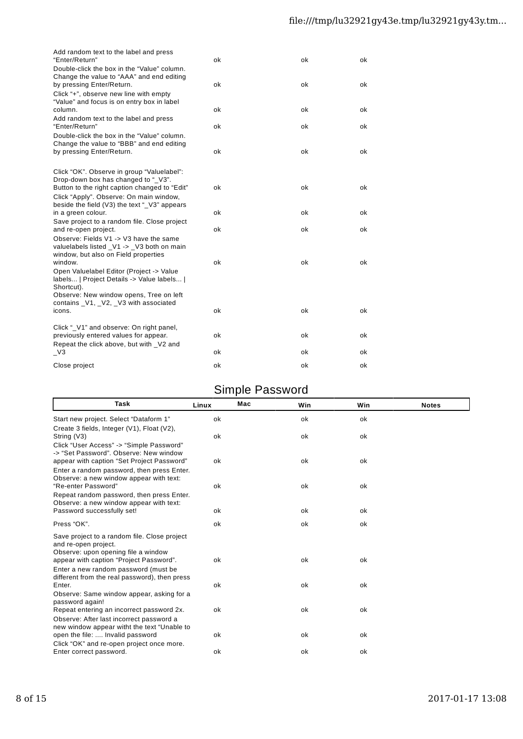| Add random text to the label and press<br>"Enter/Return"                                                                                                        | ok | ok | ok |
|-----------------------------------------------------------------------------------------------------------------------------------------------------------------|----|----|----|
| Double-click the box in the "Value" column.<br>Change the value to "AAA" and end editing<br>by pressing Enter/Return.<br>Click "+", observe new line with empty | оk | оk | ok |
| "Value" and focus is on entry box in label<br>column.                                                                                                           | ok | ok | ok |
| Add random text to the label and press<br>"Enter/Return"                                                                                                        | оk | оk | ok |
| Double-click the box in the "Value" column.<br>Change the value to "BBB" and end editing                                                                        |    |    |    |
| by pressing Enter/Return.                                                                                                                                       | оk | ok | ok |
| Click "OK". Observe in group "Valuelabel":<br>Drop-down box has changed to "V3".                                                                                |    |    |    |
| Button to the right caption changed to "Edit"<br>Click "Apply". Observe: On main window,                                                                        | ok | оk | ok |
| beside the field (V3) the text "_V3" appears<br>in a green colour.                                                                                              | οk | ok | ok |
| Save project to a random file. Close project<br>and re-open project.                                                                                            | οk | ok | ok |
| Observe: Fields V1 -> V3 have the same<br>valuelabels listed V1 -> V3 both on main<br>window, but also on Field properties                                      |    |    |    |
| window.                                                                                                                                                         | ok | ok | ok |
| Open Valuelabel Editor (Project -> Value<br>labels   Project Details -> Value labels  <br>Shortcut).                                                            |    |    |    |
| Observe: New window opens, Tree on left                                                                                                                         |    |    |    |
| contains V1, V2, V3 with associated<br>icons.                                                                                                                   | ok | ok | ok |
| Click " V1" and observe: On right panel,<br>previously entered values for appear.                                                                               | оk | ok | οk |
| Repeat the click above, but with V2 and<br>V3                                                                                                                   | οk | ok | ok |
| Close project                                                                                                                                                   | оk | оk | оk |

# Simple Password

| Task                                                                                                                                                                           | Linux | Mac | Win | Win | <b>Notes</b> |
|--------------------------------------------------------------------------------------------------------------------------------------------------------------------------------|-------|-----|-----|-----|--------------|
| Start new project. Select "Dataform 1"<br>Create 3 fields, Integer (V1), Float (V2),                                                                                           | ok    |     | ok  | ok  |              |
| String (V3)                                                                                                                                                                    | ok    |     | ok  | оk  |              |
| Click "User Access" -> "Simple Password"<br>-> "Set Password". Observe: New window<br>appear with caption "Set Project Password"<br>Enter a random password, then press Enter. | ok    |     | ok  | ok  |              |
| Observe: a new window appear with text:<br>"Re-enter Password"                                                                                                                 | ok    |     | ok  | ok  |              |
| Repeat random password, then press Enter.<br>Observe: a new window appear with text:<br>Password successfully set!                                                             | ok    |     | ok  | ok  |              |
| Press "OK".                                                                                                                                                                    | ok    |     | оk  | оk  |              |
| Save project to a random file. Close project<br>and re-open project.<br>Observe: upon opening file a window<br>appear with caption "Project Password".                         | ok    |     | оk  | оk  |              |
| Enter a new random password (must be<br>different from the real password), then press<br>Enter.                                                                                | оk    |     | ok  | ok  |              |
| Observe: Same window appear, asking for a<br>password again!                                                                                                                   |       |     |     |     |              |
| Repeat entering an incorrect password 2x.<br>Observe: After last incorrect password a<br>new window appear witht the text "Unable to                                           | ok    |     | оk  | оk  |              |
| open the file:  Invalid password<br>Click "OK" and re-open project once more.                                                                                                  | ok    |     | оk  | оk  |              |
| Enter correct password.                                                                                                                                                        | оk    |     | оk  | оk  |              |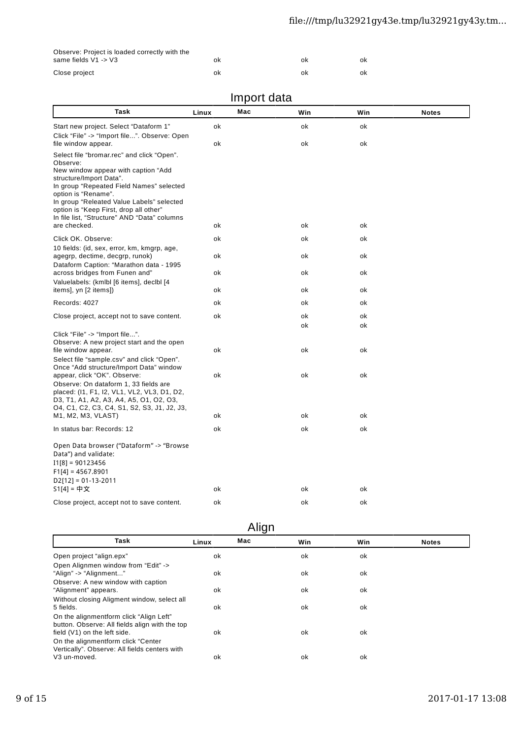| Observe: Project is loaded correctly with the |    |    |    |  |  |
|-----------------------------------------------|----|----|----|--|--|
| same fields V1 -> V3                          | ok | Ωk | ok |  |  |
| Close project                                 | ok | ok | οk |  |  |

|                                                                                                                                                                                                                                                                                                                                    |       | mpon adia |     |     |              |
|------------------------------------------------------------------------------------------------------------------------------------------------------------------------------------------------------------------------------------------------------------------------------------------------------------------------------------|-------|-----------|-----|-----|--------------|
| Task                                                                                                                                                                                                                                                                                                                               | Linux | Mac       | Win | Win | <b>Notes</b> |
| Start new project. Select "Dataform 1"<br>Click "File" -> "Import file". Observe: Open                                                                                                                                                                                                                                             | ok    |           | ok  | оk  |              |
| file window appear.                                                                                                                                                                                                                                                                                                                | оk    |           | оk  | оk  |              |
| Select file "bromar.rec" and click "Open".<br>Observe:<br>New window appear with caption "Add<br>structure/Import Data".<br>In group "Repeated Field Names" selected<br>option is "Rename".<br>In group "Releated Value Labels" selected<br>option is "Keep First, drop all other"<br>In file list, "Structure" AND "Data" columns |       |           |     |     |              |
| are checked.                                                                                                                                                                                                                                                                                                                       | ok    |           | оk  | оk  |              |
| Click OK. Observe:                                                                                                                                                                                                                                                                                                                 | оk    |           | оk  | оk  |              |
| 10 fields: (id, sex, error, km, kmgrp, age,<br>agegrp, dectime, decgrp, runok)<br>Dataform Caption: "Marathon data - 1995                                                                                                                                                                                                          | оk    |           | оk  | ok  |              |
| across bridges from Funen and"<br>Valuelabels: (kmlbl [6 items], declbl [4                                                                                                                                                                                                                                                         | оk    |           | оk  | оk  |              |
| items], yn [2 items])                                                                                                                                                                                                                                                                                                              | ok    |           | оk  | оk  |              |
| Records: 4027                                                                                                                                                                                                                                                                                                                      | оk    |           | оk  | оk  |              |
| Close project, accept not to save content.                                                                                                                                                                                                                                                                                         | оk    |           | оk  | ok  |              |
| Click "File" -> "Import file".                                                                                                                                                                                                                                                                                                     |       |           | оk  | оk  |              |
| Observe: A new project start and the open<br>file window appear.                                                                                                                                                                                                                                                                   | оk    |           | оk  | ok  |              |
| Select file "sample.csv" and click "Open".<br>Once "Add structure/Import Data" window                                                                                                                                                                                                                                              |       |           |     |     |              |
| appear, click "OK". Observe:                                                                                                                                                                                                                                                                                                       | ok    |           | оk  | оk  |              |
| Observe: On dataform 1, 33 fields are<br>placed: (I1, F1, I2, VL1, VL2, VL3, D1, D2,<br>D3, T1, A1, A2, A3, A4, A5, O1, O2, O3,<br>04, C1, C2, C3, C4, S1, S2, S3, J1, J2, J3,                                                                                                                                                     |       |           |     |     |              |
| M1, M2, M3, VLAST)                                                                                                                                                                                                                                                                                                                 | оk    |           | оk  | оk  |              |
| In status bar: Records: 12                                                                                                                                                                                                                                                                                                         | оk    |           | оk  | ok  |              |
| Open Data browser ("Dataform" -> "Browse<br>Data") and validate:<br>$I1[8] = 90123456$<br>$F1[4] = 4567.8901$<br>$D2[12] = 01-13-2011$                                                                                                                                                                                             |       |           |     |     |              |
| S1[4] = 中文                                                                                                                                                                                                                                                                                                                         | оk    |           | оk  | оk  |              |
| Close project, accept not to save content.                                                                                                                                                                                                                                                                                         | оk    |           | оk  | оk  |              |

#### Import data

| Align |  |  |
|-------|--|--|

|                                                      | ັ   |     |     |              |
|------------------------------------------------------|-----|-----|-----|--------------|
| Linux                                                | Mac | Win | Win | <b>Notes</b> |
| ok                                                   |     | ok  | ok  |              |
| ok                                                   |     | ok  | ok  |              |
| ok                                                   |     | ok  | ok  |              |
| ok                                                   |     | ok  | ok  |              |
| button. Observe: All fields align with the top<br>ok |     | ok  | ok  |              |
| ok                                                   |     | ok  | ok  |              |
|                                                      |     |     |     |              |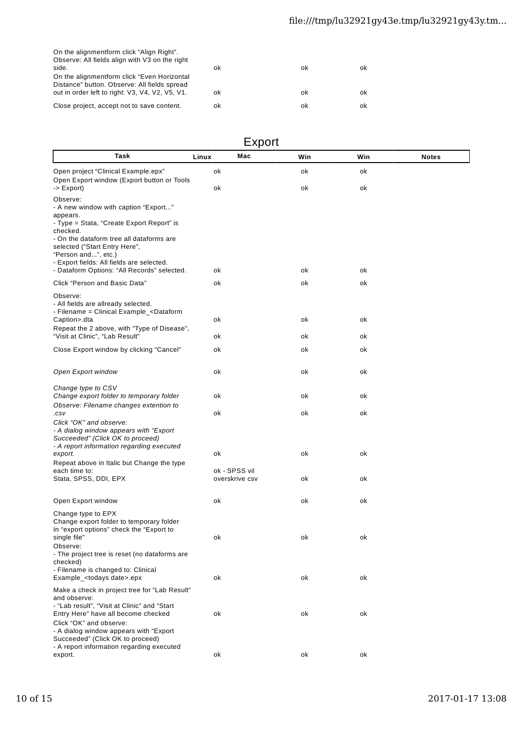#### file:///tmp/lu32921gy43e.tmp/lu32921gy43y.tm...

| On the alignmentform click "Align Right".<br>Observe: All fields align with V3 on the right<br>side.                                            | ok | οĸ | ok |
|-------------------------------------------------------------------------------------------------------------------------------------------------|----|----|----|
| On the alignmentform click "Even Horizontal"<br>Distance" button. Observe: All fields spread<br>out in order left to right: V3, V4, V2, V5, V1. | ok | ok | ok |
| Close project, accept not to save content.                                                                                                      | ok | ok | ok |

#### Export

| Task                                                                                                                                                 | Mac<br>Linux                    | Win | Win | <b>Notes</b> |
|------------------------------------------------------------------------------------------------------------------------------------------------------|---------------------------------|-----|-----|--------------|
| Open project "Clinical Example.epx"<br>Open Export window (Export button or Tools                                                                    | ok                              | ok  | ok  |              |
| -> Export)                                                                                                                                           | оk                              | ok  | оk  |              |
| Observe:<br>- A new window with caption "Export"                                                                                                     |                                 |     |     |              |
| appears.<br>- Type = Stata, "Create Export Report" is<br>checked.<br>- On the dataform tree all dataforms are                                        |                                 |     |     |              |
| selected ("Start Entry Here",<br>"Person and", etc.)<br>- Export fields: All fields are selected.                                                    |                                 |     |     |              |
| - Dataform Options: "All Records" selected.                                                                                                          | ok                              | ok  | оk  |              |
| Click "Person and Basic Data"                                                                                                                        | оk                              | оk  | оk  |              |
| Observe:<br>- All fields are allready selected.<br>- Filename = Clinical Example_ <dataform< td=""><td></td><td></td><td></td><td></td></dataform<>  |                                 |     |     |              |
| Caption>.dta<br>Repeat the 2 above, with "Type of Disease",                                                                                          | оk                              | ok  | оk  |              |
| "Visit at Clinic", "Lab Result"                                                                                                                      | оk                              | ok  | оk  |              |
| Close Export window by clicking "Cancel"                                                                                                             | оk                              | ok  | оk  |              |
| Open Export window                                                                                                                                   | оk                              | оk  | оk  |              |
| Change type to CSV<br>Change export folder to temporary folder<br>Observe: Filename changes extention to                                             | оk                              | оk  | оk  |              |
| .csv                                                                                                                                                 | оk                              | ok  | оk  |              |
| Click "OK" and observe:<br>- A dialog window appears with "Export<br>Succeeded" (Click OK to proceed)                                                |                                 |     |     |              |
| - A report information regarding executed<br>export.<br>Repeat above in Italic but Change the type                                                   | оk                              | оk  | оk  |              |
| each time to:<br>Stata, SPSS, DDI, EPX                                                                                                               | ok - SPSS vil<br>overskrive csv | ok  | оk  |              |
| Open Export window                                                                                                                                   | оk                              | оk  | оk  |              |
| Change type to EPX<br>Change export folder to temporary folder<br>In "export options" check the "Export to<br>single file"                           | оk                              | оk  | оk  |              |
| Observe:<br>- The project tree is reset (no dataforms are<br>checked)                                                                                |                                 |     |     |              |
| - Filename is changed to: Clinical<br>Example <todays date="">.epx</todays>                                                                          | ok                              | оk  | оk  |              |
| Make a check in project tree for "Lab Result"<br>and observe:<br>- "Lab result", "Visit at Clinic" and "Start<br>Entry Here" have all become checked |                                 |     |     |              |
| Click "OK" and observe:<br>- A dialog window appears with "Export<br>Succeeded" (Click OK to proceed)<br>- A report information regarding executed   | оk                              | оk  | оk  |              |
| export.                                                                                                                                              | ok                              | оk  | оk  |              |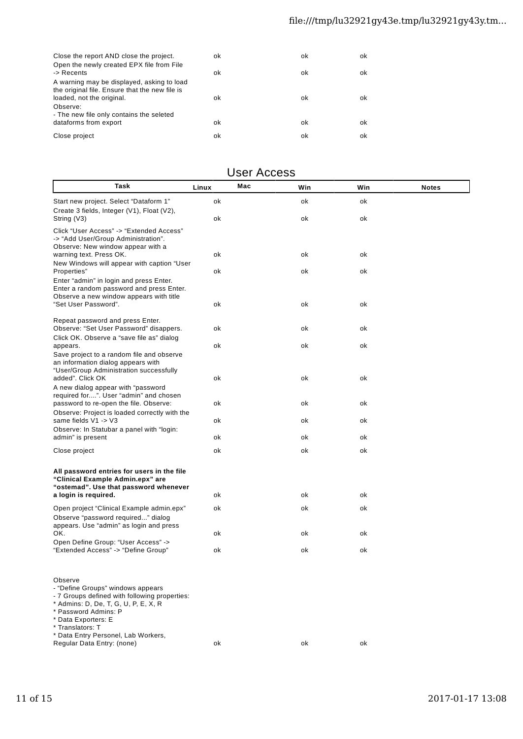#### file:///tmp/lu32921gy43e.tmp/lu32921gy43y.tm...

| Close the report AND close the project.<br>Open the newly created EPX file from File                                      | οk | ok | ok |
|---------------------------------------------------------------------------------------------------------------------------|----|----|----|
| -> Recents                                                                                                                | οk | ok | ok |
| A warning may be displayed, asking to load<br>the original file. Ensure that the new file is<br>loaded, not the original. | ok | ok | ok |
| Observe:<br>- The new file only contains the seleted                                                                      |    |    |    |
| dataforms from export                                                                                                     | ok | ok | ok |
| Close project                                                                                                             | ok | οĸ | ok |

#### User Access

| Task                                                                                                                                                                                                                                                                          | Linux | Mac<br>Win | Win | <b>Notes</b> |
|-------------------------------------------------------------------------------------------------------------------------------------------------------------------------------------------------------------------------------------------------------------------------------|-------|------------|-----|--------------|
| Start new project. Select "Dataform 1"<br>Create 3 fields, Integer (V1), Float (V2),                                                                                                                                                                                          | ok    | ok         | ok  |              |
| String (V3)                                                                                                                                                                                                                                                                   | оk    | оk         | оk  |              |
| Click "User Access" -> "Extended Access"<br>-> "Add User/Group Administration".<br>Observe: New window appear with a                                                                                                                                                          |       |            |     |              |
| warning text. Press OK.<br>New Windows will appear with caption "User                                                                                                                                                                                                         | ok    | ok         | ok  |              |
| Properties"                                                                                                                                                                                                                                                                   | оk    | ok         | оk  |              |
| Enter "admin" in login and press Enter.<br>Enter a random password and press Enter.<br>Observe a new window appears with title                                                                                                                                                |       |            |     |              |
| "Set User Password".                                                                                                                                                                                                                                                          | оk    | оk         | оk  |              |
| Repeat password and press Enter.<br>Observe: "Set User Password" disappers.<br>Click OK. Observe a "save file as" dialog                                                                                                                                                      | оk    | оk         | ok  |              |
| appears.                                                                                                                                                                                                                                                                      | оk    | оk         | оk  |              |
| Save project to a random file and observe<br>an information dialog appears with<br>"User/Group Administration successfully<br>added". Click OK                                                                                                                                |       |            |     |              |
| A new dialog appear with "password                                                                                                                                                                                                                                            | оk    | ok         | ok  |              |
| required for". User "admin" and chosen<br>password to re-open the file. Observe:<br>Observe: Project is loaded correctly with the                                                                                                                                             | ok    | оk         | ok  |              |
| same fields V1 -> V3                                                                                                                                                                                                                                                          | ok    | ok         | оk  |              |
| Observe: In Statubar a panel with "login:<br>admin" is present                                                                                                                                                                                                                | ok    | оk         | оk  |              |
| Close project                                                                                                                                                                                                                                                                 | ok    | ok         | ok  |              |
| All password entries for users in the file<br>"Clinical Example Admin.epx" are<br>"ostemad". Use that password whenever<br>a login is required.                                                                                                                               | ok    | оk         | оk  |              |
| Open project "Clinical Example admin.epx"                                                                                                                                                                                                                                     | оk    | ok         | ok  |              |
| Observe "password required" dialog<br>appears. Use "admin" as login and press                                                                                                                                                                                                 |       |            |     |              |
| OK.<br>Open Define Group: "User Access" ->                                                                                                                                                                                                                                    | оk    | оk         | оk  |              |
| "Extended Access" -> "Define Group"                                                                                                                                                                                                                                           | оk    | оk         | оk  |              |
| Observe<br>- "Define Groups" windows appears<br>- 7 Groups defined with following properties:<br>* Admins: D, De, T, G, U, P, E, X, R<br>* Password Admins: P<br>* Data Exporters: E<br>* Translators: T<br>* Data Entry Personel, Lab Workers,<br>Regular Data Entry: (none) |       |            |     |              |
|                                                                                                                                                                                                                                                                               | оk    | оk         | оk  |              |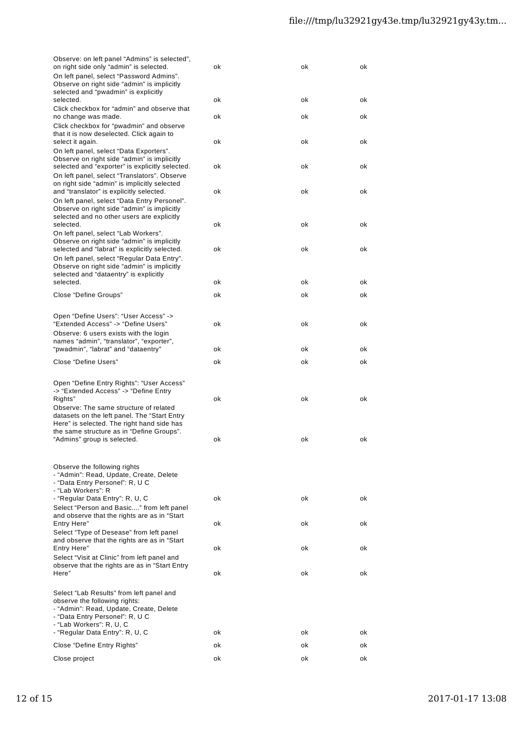| Observe: on left panel "Admins" is selected",<br>on right side only "admin" is selected.       | оk       | οk       | οk       |
|------------------------------------------------------------------------------------------------|----------|----------|----------|
| On left panel, select "Password Admins".                                                       |          |          |          |
| Observe on right side "admin" is implicitly<br>selected and "pwadmin" is explicitly            |          |          |          |
| selected.                                                                                      | оk       | οk       | οk       |
| Click checkbox for "admin" and observe that<br>no change was made.                             | оk       | οk       | оk       |
| Click checkbox for "pwadmin" and observe                                                       |          |          |          |
| that it is now deselected. Click again to<br>select it again.                                  | оk       | ok       | оk       |
| On left panel, select "Data Exporters".<br>Observe on right side "admin" is implicitly         |          |          |          |
| selected and "exporter" is explicitly selected.                                                | оk       | ok       | оk       |
| On left panel, select "Translators". Observe<br>on right side "admin" is implicitly selected   |          |          |          |
| and "translator" is explicitly selected.                                                       | оk       | ok       | оk       |
| On left panel, select "Data Entry Personel".<br>Observe on right side "admin" is implicitly    |          |          |          |
| selected and no other users are explicitly<br>selected.                                        | оk       | ok       | оk       |
| On left panel, select "Lab Workers".                                                           |          |          |          |
| Observe on right side "admin" is implicitly<br>selected and "labrat" is explicitly selected.   | оk       | ok       | оk       |
| On left panel, select "Regular Data Entry".                                                    |          |          |          |
| Observe on right side "admin" is implicitly<br>selected and "dataentry" is explicitly          |          |          |          |
| selected.                                                                                      | οk       | οk       | οk       |
| Close "Define Groups"                                                                          | оk       | οk       | оk       |
| Open "Define Users": "User Access" ->                                                          |          |          |          |
| "Extended Access" -> "Define Users"                                                            | оk       | ok       | оk       |
| Observe: 6 users exists with the login<br>names "admin", "translator", "exporter",             |          |          |          |
| "pwadmin", "labrat" and "dataentry"                                                            | οk       | οk       | οk       |
| Close "Define Users"                                                                           | оk       | оk       | οk       |
|                                                                                                |          |          |          |
| Open "Define Entry Rights": "User Access"<br>-> "Extended Access" -> "Define Entry             |          |          |          |
| Rights"<br>Observe: The same structure of related                                              | оk       | ok       | оk       |
| datasets on the left panel. The "Start Entry                                                   |          |          |          |
| Here" is selected. The right hand side has<br>the same structure as in "Define Groups".        |          |          |          |
| "Admins" group is selected.                                                                    | оk       | ok       | оk       |
|                                                                                                |          |          |          |
| Observe the following rights<br>- "Admin": Read, Update, Create, Delete                        |          |          |          |
| - "Data Entry Personel": R, U C                                                                |          |          |          |
| - "Lab Workers": R<br>- "Regular Data Entry": R, U, C                                          | оk       | ok       | оk       |
| Select "Person and Basic" from left panel                                                      |          |          |          |
| and observe that the rights are as in "Start"<br>Entry Here"                                   | оk       | ok       | оk       |
| Select "Type of Desease" from left panel<br>and observe that the rights are as in "Start"      |          |          |          |
| Entry Here"                                                                                    | оk       | оk       | оk       |
| Select "Visit at Clinic" from left panel and<br>observe that the rights are as in "Start Entry |          |          |          |
| Here"                                                                                          | оk       | ok       | оk       |
| Select "Lab Results" from left panel and                                                       |          |          |          |
| observe the following rights:                                                                  |          |          |          |
| - "Admin": Read, Update, Create, Delete<br>- "Data Entry Personel": R, U C                     |          |          |          |
|                                                                                                |          |          |          |
| - "Lab Workers": R, U, C                                                                       |          |          |          |
| - "Regular Data Entry": R, U, C                                                                | ok       | ok       | οk       |
| Close "Define Entry Rights"<br>Close project                                                   | ok<br>оk | ok<br>оk | ok<br>ok |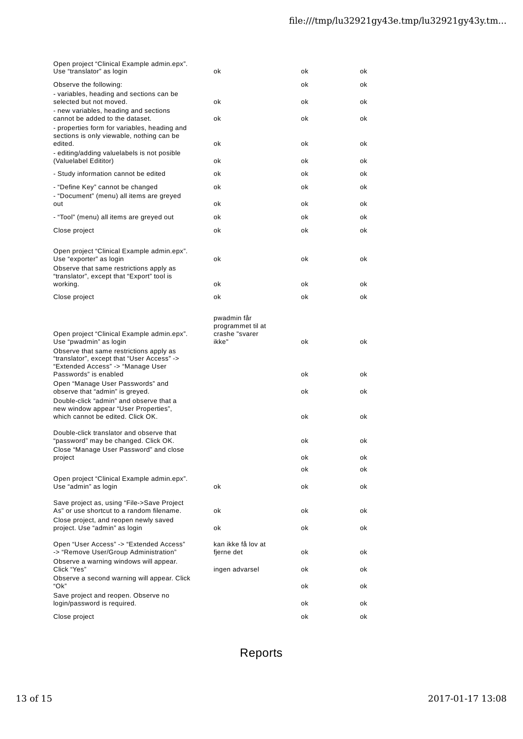| Open project "Clinical Example admin.epx".<br>Use "translator" as login                                                                                        | ok                                                          | ok | οk |
|----------------------------------------------------------------------------------------------------------------------------------------------------------------|-------------------------------------------------------------|----|----|
| Observe the following:<br>- variables, heading and sections can be                                                                                             |                                                             | ok | οk |
| selected but not moved.                                                                                                                                        | οk                                                          | ok | ok |
| - new variables, heading and sections<br>cannot be added to the dataset.<br>- properties form for variables, heading and                                       | оk                                                          | ok | ok |
| sections is only viewable, nothing can be<br>edited.                                                                                                           | οk                                                          | оk | оk |
| - editing/adding valuelabels is not posible<br>(Valuelabel Edititor)                                                                                           | οk                                                          | ok | оk |
| - Study information cannot be edited                                                                                                                           | οk                                                          | ok | оk |
| - "Define Key" cannot be changed<br>- "Document" (menu) all items are greyed                                                                                   | οk                                                          | оk | ok |
| out                                                                                                                                                            | оk                                                          | оk | ok |
| - "Tool" (menu) all items are greyed out                                                                                                                       | оk                                                          | оk | ok |
| Close project                                                                                                                                                  | оk                                                          | оk | ok |
| Open project "Clinical Example admin.epx".<br>Use "exporter" as login<br>Observe that same restrictions apply as<br>"translator", except that "Export" tool is | оk                                                          | оk | оk |
| working.                                                                                                                                                       | οk                                                          | ok | ok |
| Close project                                                                                                                                                  | ok                                                          | ok | ok |
| Open project "Clinical Example admin.epx".<br>Use "pwadmin" as login<br>Observe that same restrictions apply as<br>"translator", except that "User Access" ->  | pwadmin får<br>programmet til at<br>crashe "svarer<br>ikke" | оk | ok |
| "Extended Access" -> "Manage User<br>Passwords" is enabled<br>Open "Manage User Passwords" and                                                                 |                                                             | ok | ok |
| observe that "admin" is greyed.<br>Double-click "admin" and observe that a<br>new window appear "User Properties",                                             |                                                             | ok | ok |
| which cannot be edited. Click OK.                                                                                                                              |                                                             | оk | оk |
| Double-click translator and observe that<br>"password" may be changed. Click OK.                                                                               |                                                             | ok | οk |
| Close "Manage User Password" and close<br>project                                                                                                              |                                                             | оk | оk |
|                                                                                                                                                                |                                                             | оk | оk |
| Open project "Clinical Example admin.epx".<br>Use "admin" as login                                                                                             | оk                                                          | оk | оk |
| Save project as, using "File->Save Project<br>As" or use shortcut to a random filename.                                                                        | οk                                                          | оk | оk |
| Close project, and reopen newly saved<br>project. Use "admin" as login                                                                                         | оk                                                          | оk | ok |
| Open "User Access" -> "Extended Access"<br>-> "Remove User/Group Administration"                                                                               | kan ikke få lov at<br>fjerne det                            | оk | оk |
| Observe a warning windows will appear.<br>Click "Yes"                                                                                                          | ingen advarsel                                              | оk | оk |
| Observe a second warning will appear. Click<br>"Ok"                                                                                                            |                                                             | оk | ok |
| Save project and reopen. Observe no<br>login/password is required.                                                                                             |                                                             | оk | оk |
| Close project                                                                                                                                                  |                                                             | оk | оk |
|                                                                                                                                                                |                                                             |    |    |

## Reports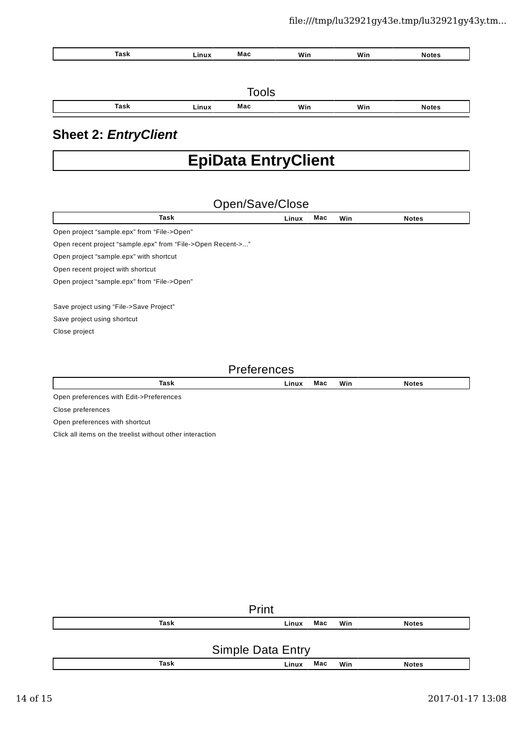| Task        | Linux | Мас          | Win | Win | <b>Notes</b> |
|-------------|-------|--------------|-----|-----|--------------|
|             |       |              |     |     |              |
|             |       |              |     |     |              |
|             |       |              |     |     |              |
|             |       | <b>Tools</b> |     |     |              |
| <b>Task</b> | Linux | Мас          | Win | Win | <b>Notes</b> |
|             |       |              |     |     |              |
|             |       |              |     |     |              |

### **Sheet 2:** *EntryClient*

# **EpiData EntryClient**

| Open/Save/Close                                             |       |     |     |              |  |
|-------------------------------------------------------------|-------|-----|-----|--------------|--|
| Task                                                        | Linux | Mac | Win | <b>Notes</b> |  |
| Open project "sample.epx" from "File->Open"                 |       |     |     |              |  |
| Open recent project "sample.epx" from "File->Open Recent->" |       |     |     |              |  |
| Open project "sample.epx" with shortcut                     |       |     |     |              |  |
| Open recent project with shortcut                           |       |     |     |              |  |
| Open project "sample.epx" from "File->Open"                 |       |     |     |              |  |
| Save project using "File->Save Project"                     |       |     |     |              |  |
| Save project using shortcut                                 |       |     |     |              |  |
| Close project                                               |       |     |     |              |  |
|                                                             |       |     |     |              |  |
| <b>Preferences</b>                                          |       |     |     |              |  |

| <b>Task</b>                             | Linux | Мас | Win | <b>Notes</b> |
|-----------------------------------------|-------|-----|-----|--------------|
| Open preferences with Edit->Preferences |       |     |     |              |
| Close preferences                       |       |     |     |              |
| Open preferences with shortcut          |       |     |     |              |

Click all items on the treelist without other interaction

|             | Print             |     |              |
|-------------|-------------------|-----|--------------|
| <b>Task</b> | Мас<br>Linux      | Win | <b>Notes</b> |
|             | Simple Data Entry |     |              |
| <b>Task</b> | Мас<br>Linux      | Win | <b>Notes</b> |
|             |                   |     |              |